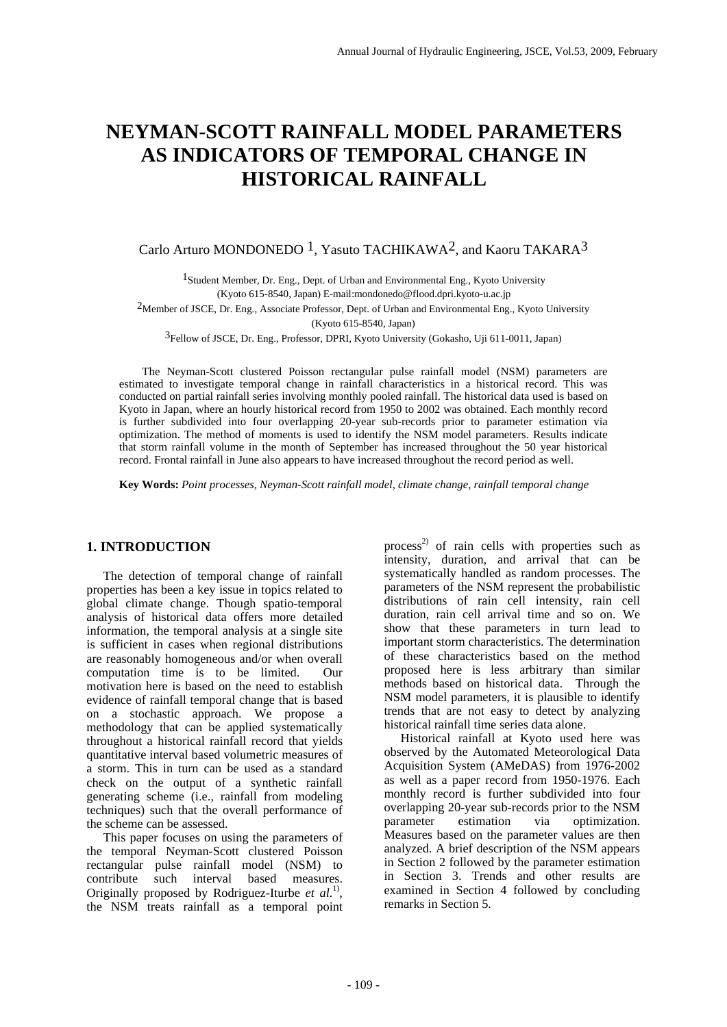# **NEYMAN-SCOTT RAINFALL MODEL PARAMETERS AS INDICATORS OF TEMPORAL CHANGE IN HISTORICAL RAINFALL**

# Carlo Arturo MONDONEDO <sup>1</sup>, Yasuto TACHIKAWA<sup>2</sup>, and Kaoru TAKARA<sup>3</sup>

<sup>1</sup> Student Member, Dr. Eng., Dept. of Urban and Environmental Eng., Kyoto University (Kyoto 615-8540, Japan) E-mail:mondonedo@flood.dpri.kyoto-u.ac.jp

2Member of JSCE, Dr. Eng., Associate Professor, Dept. of Urban and Environmental Eng., Kyoto University (Kyoto 615-8540, Japan)

3Fellow of JSCE, Dr. Eng., Professor, DPRI, Kyoto University (Gokasho, Uji 611-0011, Japan)

 The Neyman-Scott clustered Poisson rectangular pulse rainfall model (NSM) parameters are estimated to investigate temporal change in rainfall characteristics in a historical record. This was conducted on partial rainfall series involving monthly pooled rainfall. The historical data used is based on Kyoto in Japan, where an hourly historical record from 1950 to 2002 was obtained. Each monthly record is further subdivided into four overlapping 20-year sub-records prior to parameter estimation via optimization. The method of moments is used to identify the NSM model parameters. Results indicate that storm rainfall volume in the month of September has increased throughout the 50 year historical record. Frontal rainfall in June also appears to have increased throughout the record period as well.

**Key Words:** *Point processes, Neyman-Scott rainfall model, climate change, rainfall temporal change*

# **1. INTRODUCTION**

The detection of temporal change of rainfall properties has been a key issue in topics related to global climate change. Though spatio-temporal analysis of historical data offers more detailed information, the temporal analysis at a single site is sufficient in cases when regional distributions are reasonably homogeneous and/or when overall computation time is to be limited. Our motivation here is based on the need to establish evidence of rainfall temporal change that is based on a stochastic approach. We propose a methodology that can be applied systematically throughout a historical rainfall record that yields quantitative interval based volumetric measures of a storm. This in turn can be used as a standard check on the output of a synthetic rainfall generating scheme (i.e., rainfall from modeling techniques) such that the overall performance of the scheme can be assessed.

This paper focuses on using the parameters of the temporal Neyman-Scott clustered Poisson rectangular pulse rainfall model (NSM) to contribute such interval based measures. Originally proposed by Rodriguez-Iturbe *et al.*1), the NSM treats rainfall as a temporal point

process<sup>2)</sup> of rain cells with properties such as intensity, duration, and arrival that can be systematically handled as random processes. The parameters of the NSM represent the probabilistic distributions of rain cell intensity, rain cell duration, rain cell arrival time and so on. We show that these parameters in turn lead to important storm characteristics. The determination of these characteristics based on the method proposed here is less arbitrary than similar methods based on historical data. Through the NSM model parameters, it is plausible to identify trends that are not easy to detect by analyzing historical rainfall time series data alone.

Historical rainfall at Kyoto used here was observed by the Automated Meteorological Data Acquisition System (AMeDAS) from 1976-2002 as well as a paper record from 1950-1976. Each monthly record is further subdivided into four overlapping 20-year sub-records prior to the NSM parameter estimation via optimization. Measures based on the parameter values are then analyzed. A brief description of the NSM appears in Section 2 followed by the parameter estimation in Section 3. Trends and other results are examined in Section 4 followed by concluding remarks in Section 5.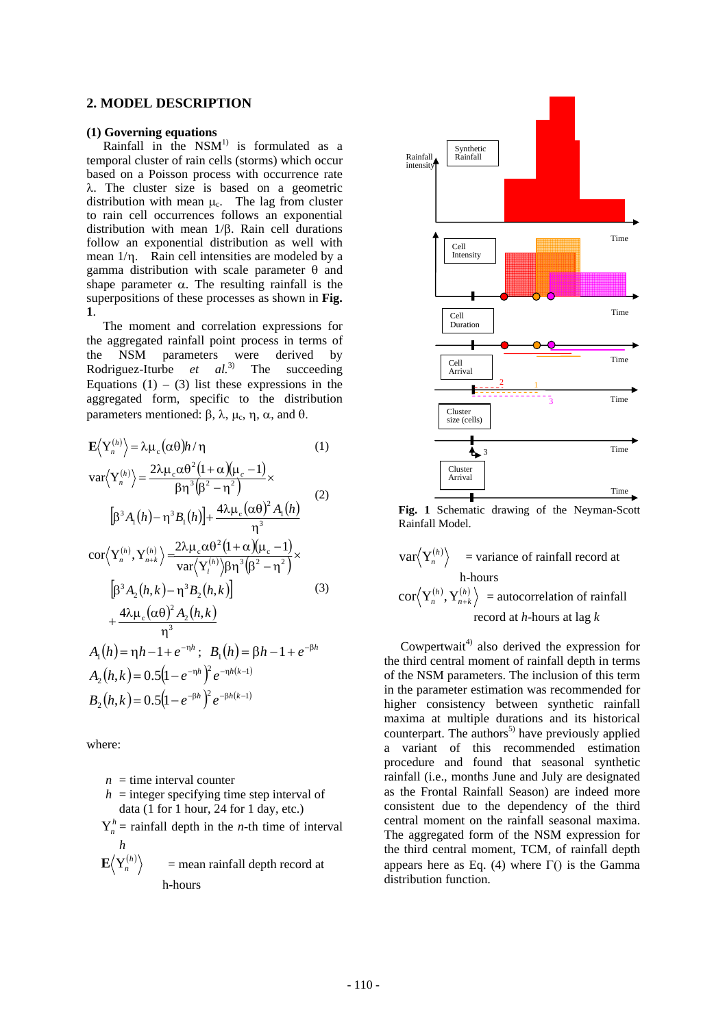# **2. MODEL DESCRIPTION**

#### **(1) Governing equations**

Rainfall in the  $NSM<sup>1</sup>$  is formulated as a temporal cluster of rain cells (storms) which occur based on a Poisson process with occurrence rate λ. The cluster size is based on a geometric distribution with mean  $\mu_c$ . The lag from cluster to rain cell occurrences follows an exponential distribution with mean 1/β. Rain cell durations follow an exponential distribution as well with mean 1/η. Rain cell intensities are modeled by a gamma distribution with scale parameter θ and shape parameter  $\alpha$ . The resulting rainfall is the superpositions of these processes as shown in **Fig. 1**.

 The moment and correlation expressions for the aggregated rainfall point process in terms of the NSM parameters were derived by Rodriguez-Iturbe *et al.*3) The succeeding Equations  $(1) - (3)$  list these expressions in the aggregated form, specific to the distribution parameters mentioned: β, λ, μ<sub>c</sub>, η, α, and θ.

$$
\mathbf{E}\langle\mathbf{Y}_{n}^{(h)}\rangle = \lambda\mu_{c}(\alpha\theta)h/\eta
$$
\n
$$
\operatorname{var}\langle\mathbf{Y}_{n}^{(h)}\rangle = \frac{2\lambda\mu_{c}\alpha\theta^{2}(1+\alpha)(\mu_{c}-1)}{\beta\eta^{3}(\beta^{2}-\eta^{2})}\times
$$
\n
$$
[\beta^{3}A_{1}(h)-\eta^{3}B_{1}(h)] + \frac{4\lambda\mu_{c}(\alpha\theta)^{2}A_{1}(h)}{\eta^{3}}
$$
\n
$$
\operatorname{cor}\langle\mathbf{Y}_{n}^{(h)},\mathbf{Y}_{n+k}^{(h)}\rangle = \frac{2\lambda\mu_{c}\alpha\theta^{2}(1+\alpha)(\mu_{c}-1)}{\operatorname{var}\langle\mathbf{Y}_{i}^{(h)}\rangle\beta\eta^{3}(\beta^{2}-\eta^{2})}\times
$$
\n
$$
[\beta^{3}A_{2}(h,k)-\eta^{3}B_{2}(h,k)]
$$
\n
$$
+\frac{4\lambda\mu_{c}(\alpha\theta)^{2}A_{2}(h,k)}{\eta^{3}}
$$
\n
$$
A_{1}(h) = \eta h - 1 + e^{-\eta h}; \quad B_{1}(h) = \beta h - 1 + e^{-\beta h}
$$

 $A_2(h,k) = 0.5(1 - e^{-\eta h})^2 e^{-\eta h(k-1)}$  $B_2(h,k) = 0.5(1 - e^{-\beta h})^2 e^{-\beta h(k-1)}$ 

where:

- $n =$  time interval counter  $h =$  integer specifying time step interval of data (1 for 1 hour, 24 for 1 day, etc.)
- $Y_n^h$  = rainfall depth in the *n*-th time of interval *h*
- $\mathbf{E}\langle \mathbf{Y}_n^{(h)} \rangle$  = mean rainfall depth record at h-hours



**Fig. 1** Schematic drawing of the Neyman-Scott Rainfall Model.

$$
\text{var}\langle Y_n^{(h)} \rangle = \text{variance of rainfall record at}
$$
\n
$$
\text{h-hours}
$$
\n
$$
\text{cor}\langle Y_n^{(h)}, Y_{n+k}^{(h)} \rangle = \text{autocorrelation of rainfall record at } h\text{-hours at lag } k
$$

Cowpertwait<sup>4)</sup> also derived the expression for the third central moment of rainfall depth in terms of the NSM parameters. The inclusion of this term in the parameter estimation was recommended for higher consistency between synthetic rainfall maxima at multiple durations and its historical counterpart. The authors<sup>5)</sup> have previously applied a variant of this recommended estimation procedure and found that seasonal synthetic rainfall (i.e., months June and July are designated as the Frontal Rainfall Season) are indeed more consistent due to the dependency of the third central moment on the rainfall seasonal maxima. The aggregated form of the NSM expression for the third central moment, TCM, of rainfall depth appears here as Eq. (4) where Γ() is the Gamma distribution function.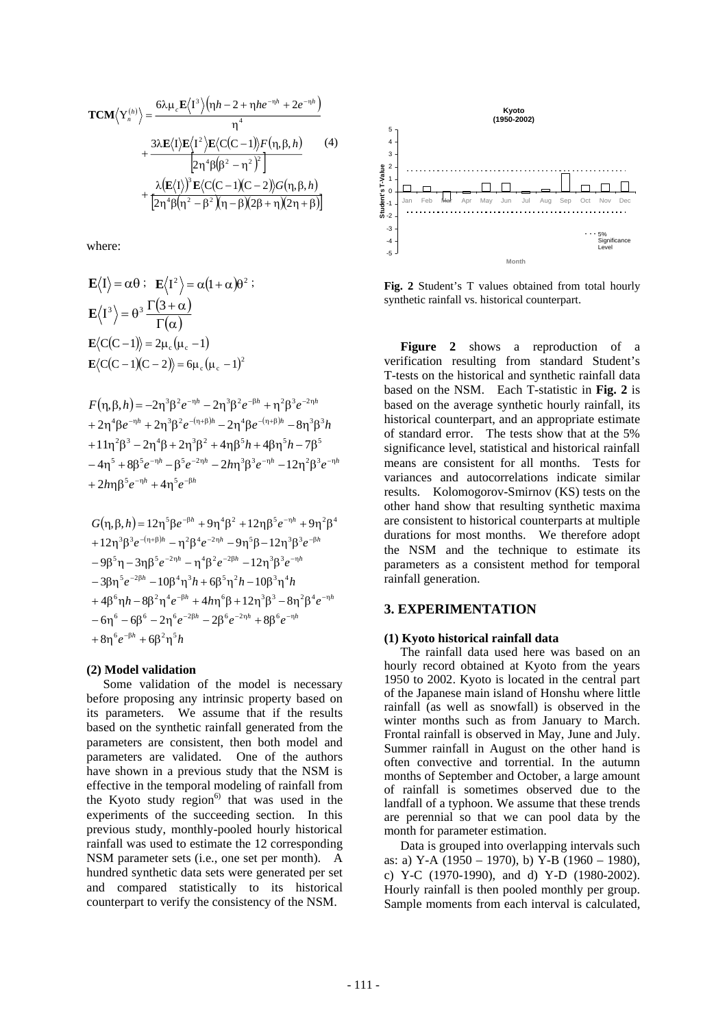$$
\mathbf{TCM}\langle Y_n^{(h)}\rangle = \frac{6\lambda\mu_c \mathbf{E}\langle 1^3\rangle \left(\eta h - 2 + \eta h e^{-\eta h} + 2e^{-\eta h}\right)}{\eta^4} + \frac{3\lambda \mathbf{E}\langle 1\rangle \mathbf{E}\langle 1^2\rangle \mathbf{E}\langle C(C-1)\rangle F(\eta, \beta, h)}{2\eta^4 \beta (\beta^2 - \eta^2)^2} + \frac{\lambda(\mathbf{E}\langle 1\rangle)^3 \mathbf{E}\langle C(C-1)(C-2)\rangle G(\eta, \beta, h)}{2\eta^4 \beta (\eta^2 - \beta^2)(\eta - \beta)(2\beta + \eta)(2\eta + \beta)}
$$

where:

$$
\mathbf{E}\langle I \rangle = \alpha \theta : \mathbf{E}\langle I^2 \rangle = \alpha (1 + \alpha) \theta^2 :
$$
  
\n
$$
\mathbf{E}\langle I^3 \rangle = \theta^3 \frac{\Gamma(3 + \alpha)}{\Gamma(\alpha)}
$$
  
\n
$$
\mathbf{E}\langle C(C-1) \rangle = 2\mu_c (\mu_c - 1)
$$
  
\n
$$
\mathbf{E}\langle C(C-1)(C-2) \rangle = 6\mu_c (\mu_c - 1)^2
$$

 $F(\eta, \beta, h) = -2\eta^{3} \beta^{2} e^{-\eta h} - 2\eta^{3} \beta^{2} e^{-\beta h} + \eta^{2} \beta^{3} e^{-2\eta h}$ +2n<sup>4</sup> $\beta e^{-\eta h}$  +2n<sup>3</sup> $\beta^2 e^{-(\eta+\beta)h}$  -2n<sup>4</sup> $\beta e^{-(\eta+\beta)h}$  -8n<sup>3</sup> $\beta^3 h$  $+11\eta^2\beta^3 - 2\eta^4\beta + 2\eta^3\beta^2 + 4\eta\beta^5h + 4\beta\eta^5h - 7\beta^5$  $-4\eta^5 + 8\beta^5 e^{-\eta h} - \beta^5 e^{-2\eta h} - 2h\eta^3 \beta^3 e^{-\eta h} - 12\eta^2 \beta^3 e^{-\eta h}$ +2 $h$ n $6^5e^{-\eta h}$  +4 $n^5e^{-\beta h}$ 

$$
G(\eta, \beta, h) = 12\eta^5 \beta e^{-\beta h} + 9\eta^4 \beta^2 + 12\eta \beta^5 e^{-\eta h} + 9\eta^2 \beta^4
$$
  
+ 12\eta^3 \beta^3 e^{-(\eta+\beta)h} - \eta^2 \beta^4 e^{-2\eta h} - 9\eta^5 \beta - 12\eta^3 \beta^3 e^{-\beta h}  
- 9\beta^5 \eta - 3\eta \beta^5 e^{-2\eta h} - \eta^4 \beta^2 e^{-2\beta h} - 12\eta^3 \beta^3 e^{-\eta h}  
- 3\beta \eta^5 e^{-2\beta h} - 10\beta^4 \eta^3 h + 6\beta^5 \eta^2 h - 10\beta^3 \eta^4 h  
+ 4\beta^6 \eta h - 8\beta^2 \eta^4 e^{-\beta h} + 4h\eta^6 \beta + 12\eta^3 \beta^3 - 8\eta^2 \beta^4 e^{-\eta h}  
- 6\eta^6 - 6\beta^6 - 2\eta^6 e^{-2\beta h} - 2\beta^6 e^{-2\eta h} + 8\beta^6 e^{-\eta h}  
+ 8\eta^6 e^{-\beta h} + 6\beta^2 \eta^5 h

## (2) Model validation

Some validation of the model is necessary before proposing any intrinsic property based on its parameters. We assume that if the results based on the synthetic rainfall generated from the parameters are consistent, then both model and parameters are validated. One of the authors have shown in a previous study that the NSM is effective in the temporal modeling of rainfall from the Kyoto study region<sup>6)</sup> that was used in the experiments of the succeeding section. In this previous study, monthly-pooled hourly historical rainfall was used to estimate the 12 corresponding NSM parameter sets (i.e., one set per month). A hundred synthetic data sets were generated per set and compared statistically to its historical counterpart to verify the consistency of the NSM.



Fig. 2 Student's T values obtained from total hourly synthetic rainfall vs. historical counterpart.

Figure 2 shows a reproduction of a verification resulting from standard Student's T-tests on the historical and synthetic rainfall data based on the NSM. Each T-statistic in Fig. 2 is based on the average synthetic hourly rainfall, its historical counterpart, and an appropriate estimate of standard error. The tests show that at the 5% significance level, statistical and historical rainfall means are consistent for all months. Tests for variances and autocorrelations indicate similar results. Kolomogorov-Smirnov (KS) tests on the other hand show that resulting synthetic maxima are consistent to historical counterparts at multiple durations for most months. We therefore adopt the NSM and the technique to estimate its parameters as a consistent method for temporal rainfall generation.

# **3. EXPERIMENTATION**

#### (1) Kyoto historical rainfall data

The rainfall data used here was based on an hourly record obtained at Kyoto from the years 1950 to 2002. Kyoto is located in the central part of the Japanese main island of Honshu where little rainfall (as well as snowfall) is observed in the winter months such as from January to March. Frontal rainfall is observed in May, June and July. Summer rainfall in August on the other hand is often convective and torrential. In the autumn months of September and October, a large amount of rainfall is sometimes observed due to the landfall of a typhoon. We assume that these trends are perennial so that we can pool data by the month for parameter estimation.

Data is grouped into overlapping intervals such as: a) Y-A (1950 – 1970), b) Y-B (1960 – 1980), c) Y-C (1970-1990), and d) Y-D (1980-2002). Hourly rainfall is then pooled monthly per group. Sample moments from each interval is calculated.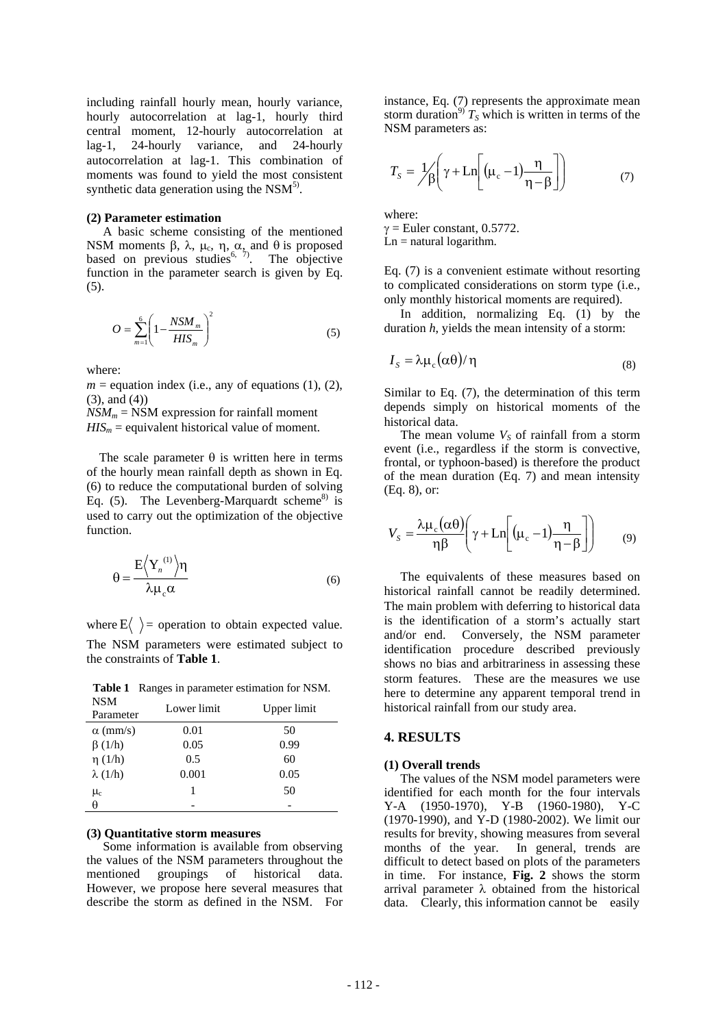including rainfall hourly mean, hourly variance, hourly autocorrelation at lag-1, hourly third central moment, 12-hourly autocorrelation at lag-1, 24-hourly variance, and 24-hourly autocorrelation at lag-1. This combination of moments was found to yield the most consistent synthetic data generation using the  $NSM<sup>5</sup>$ .

#### **(2) Parameter estimation**

 A basic scheme consisting of the mentioned NSM moments β, λ, μ<sub>c</sub>, η, α, and θ is proposed based on previous studies<sup>6,  $\frac{1}{2}$ </sup>. The objective function in the parameter search is given by Eq. (5).

$$
O = \sum_{m=1}^{6} \left( 1 - \frac{NSM_m}{HIS_m} \right)^2 \tag{5}
$$

where:

 $m =$  equation index (i.e., any of equations (1), (2), (3), and (4))

 $NSM_m = NSM$  expression for rainfall moment  $HIS_m$  = equivalent historical value of moment.

The scale parameter  $\theta$  is written here in terms of the hourly mean rainfall depth as shown in Eq. (6) to reduce the computational burden of solving Eq.  $(5)$ . The Levenberg-Marquardt scheme<sup>8)</sup> is used to carry out the optimization of the objective function.

$$
\theta = \frac{E\left\langle Y_n^{(1)}\right\rangle \eta}{\lambda \mu_c \alpha}
$$
\n(6)

where  $E\langle \rangle$  = operation to obtain expected value. The NSM parameters were estimated subject to the constraints of **Table 1**.

**Table 1** Ranges in parameter estimation for NSM.

| <b>NSM</b><br>Parameter | Lower limit | Upper limit |
|-------------------------|-------------|-------------|
| $\alpha$ (mm/s)         | 0.01        | 50          |
| $\beta(1/h)$            | 0.05        | 0.99        |
| $\eta$ (1/h)            | 0.5         | 60          |
| $\lambda(1/h)$          | 0.001       | 0.05        |
| $\mu_{\rm c}$           |             | 50          |
| θ                       |             |             |

## **(3) Quantitative storm measures**

Some information is available from observing the values of the NSM parameters throughout the mentioned groupings of historical data. However, we propose here several measures that describe the storm as defined in the NSM. For instance, Eq. (7) represents the approximate mean storm duration<sup>9)</sup>  $T_s$  which is written in terms of the NSM parameters as:

$$
T_s = \frac{1}{\beta} \left( \gamma + \text{Ln} \left[ \left( \mu_c - 1 \right) \frac{\eta}{\eta - \beta} \right] \right) \tag{7}
$$

where:  $\gamma$  = Euler constant, 0.5772.

 $Ln = natural logarithm$ .

Eq. (7) is a convenient estimate without resorting to complicated considerations on storm type (i.e., only monthly historical moments are required).

In addition, normalizing Eq. (1) by the duration *h*, yields the mean intensity of a storm:

$$
I_{S} = \lambda \mu_{c} (\alpha \theta) / \eta \tag{8}
$$

Similar to Eq. (7), the determination of this term depends simply on historical moments of the historical data.

The mean volume  $V<sub>s</sub>$  of rainfall from a storm event (i.e., regardless if the storm is convective, frontal, or typhoon-based) is therefore the product of the mean duration (Eq. 7) and mean intensity (Eq. 8), or:

$$
V_{S} = \frac{\lambda \mu_{c}(\alpha \theta)}{\eta \beta} \left( \gamma + \text{Ln} \left[ (\mu_{c} - 1) \frac{\eta}{\eta - \beta} \right] \right) \tag{9}
$$

 The equivalents of these measures based on historical rainfall cannot be readily determined. The main problem with deferring to historical data is the identification of a storm's actually start and/or end. Conversely, the NSM parameter identification procedure described previously shows no bias and arbitrariness in assessing these storm features. These are the measures we use here to determine any apparent temporal trend in historical rainfall from our study area.

#### **4. RESULTS**

#### **(1) Overall trends**

The values of the NSM model parameters were identified for each month for the four intervals Y-A (1950-1970), Y-B (1960-1980), Y-C (1970-1990), and Y-D (1980-2002). We limit our results for brevity, showing measures from several months of the year. In general, trends are difficult to detect based on plots of the parameters in time. For instance, **Fig. 2** shows the storm arrival parameter λ obtained from the historical data. Clearly, this information cannot be easily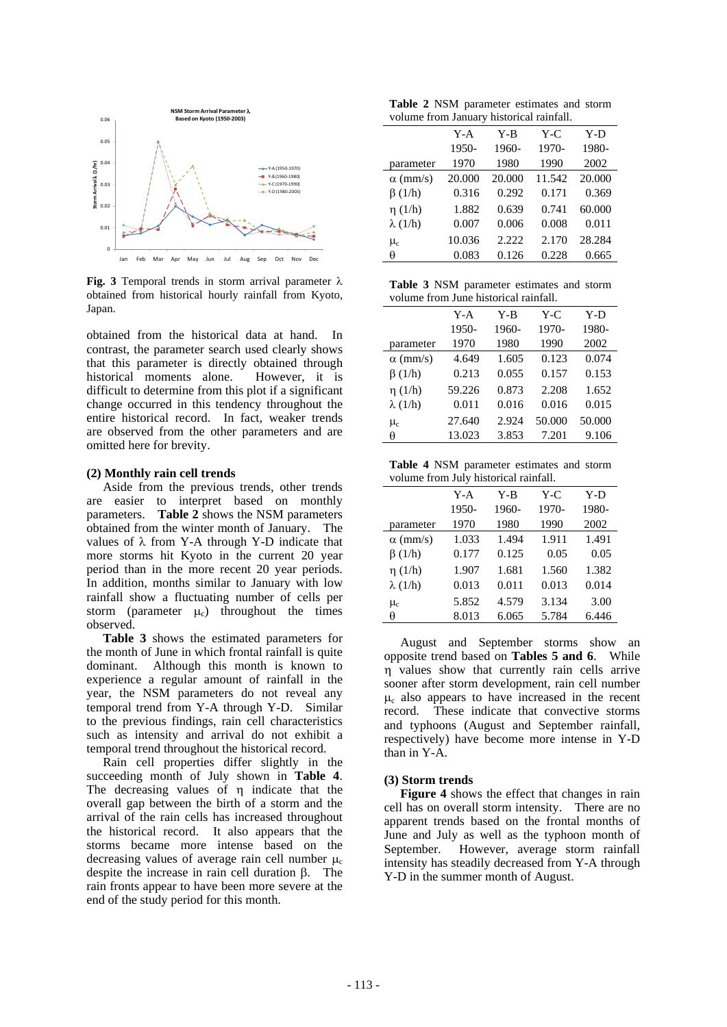

**Fig. 3** Temporal trends in storm arrival parameter  $\lambda$ obtained from historical hourly rainfall from Kyoto, Japan.

obtained from the historical data at hand. In contrast, the parameter search used clearly shows that this parameter is directly obtained through historical moments alone. However, it is difficult to determine from this plot if a significant change occurred in this tendency throughout the entire historical record. In fact, weaker trends are observed from the other parameters and are omitted here for brevity.

### **(2) Monthly rain cell trends**

 Aside from the previous trends, other trends are easier to interpret based on monthly parameters. **Table 2** shows the NSM parameters obtained from the winter month of January. The values of  $\lambda$  from Y-A through Y-D indicate that more storms hit Kyoto in the current 20 year period than in the more recent 20 year periods. In addition, months similar to January with low rainfall show a fluctuating number of cells per storm (parameter  $\mu_c$ ) throughout the times observed.

**Table 3** shows the estimated parameters for the month of June in which frontal rainfall is quite dominant. Although this month is known to experience a regular amount of rainfall in the year, the NSM parameters do not reveal any temporal trend from Y-A through Y-D. Similar to the previous findings, rain cell characteristics such as intensity and arrival do not exhibit a temporal trend throughout the historical record.

Rain cell properties differ slightly in the succeeding month of July shown in **Table 4**. The decreasing values of η indicate that the overall gap between the birth of a storm and the arrival of the rain cells has increased throughout the historical record. It also appears that the storms became more intense based on the decreasing values of average rain cell number  $\mu_c$ despite the increase in rain cell duration β. The rain fronts appear to have been more severe at the end of the study period for this month.

**Table 2** NSM parameter estimates and storm volume from January historical rainfall.

|                 | $Y-A$  | Y-B    | $Y-C$  | Y-D    |
|-----------------|--------|--------|--------|--------|
|                 | 1950-  | 1960-  | 1970-  | 1980-  |
| parameter       | 1970   | 1980   | 1990   | 2002   |
| $\alpha$ (mm/s) | 20,000 | 20.000 | 11.542 | 20.000 |
| $\beta(1/h)$    | 0.316  | 0.292  | 0.171  | 0.369  |
| $\eta(1/h)$     | 1.882  | 0.639  | 0.741  | 60.000 |
| $\lambda(1/h)$  | 0.007  | 0.006  | 0.008  | 0.011  |
| $\mu_{c}$       | 10.036 | 2.222  | 2.170  | 28.284 |
| θ               | 0.083  | 0.126  | 0.228  | 0.665  |
|                 |        |        |        |        |

**Table 3** NSM parameter estimates and storm volume from June historical rainfall.

|                 | Y-A    | Y-B   | Y-C    | Y-D    |
|-----------------|--------|-------|--------|--------|
|                 | 1950-  | 1960- | 1970-  | 1980-  |
| parameter       | 1970   | 1980  | 1990   | 2002   |
| $\alpha$ (mm/s) | 4.649  | 1.605 | 0.123  | 0.074  |
| $\beta(1/h)$    | 0.213  | 0.055 | 0.157  | 0.153  |
| $\eta(1/h)$     | 59.226 | 0.873 | 2.208  | 1.652  |
| $\lambda(1/h)$  | 0.011  | 0.016 | 0.016  | 0.015  |
| $\mu_{\rm c}$   | 27.640 | 2.924 | 50.000 | 50.000 |
| θ               | 13.023 | 3.853 | 7.201  | 9.106  |

**Table 4** NSM parameter estimates and storm volume from July historical rainfall.

|                 | Y-A   | Y-B   | $Y-C$ | Y-D   |
|-----------------|-------|-------|-------|-------|
|                 | 1950- | 1960- | 1970- | 1980- |
| parameter       | 1970  | 1980  | 1990  | 2002  |
| $\alpha$ (mm/s) | 1.033 | 1.494 | 1.911 | 1.491 |
| $\beta(1/h)$    | 0.177 | 0.125 | 0.05  | 0.05  |
| $\eta(1/h)$     | 1.907 | 1.681 | 1.560 | 1.382 |
| $\lambda(1/h)$  | 0.013 | 0.011 | 0.013 | 0.014 |
| $\mu_{\rm c}$   | 5.852 | 4.579 | 3.134 | 3.00  |
| θ               | 8.013 | 6.065 | 5.784 | 6.446 |

August and September storms show an opposite trend based on **Tables 5 and 6**. While η values show that currently rain cells arrive sooner after storm development, rain cell number  $\mu_c$  also appears to have increased in the recent record. These indicate that convective storms and typhoons (August and September rainfall, respectively) have become more intense in Y-D than in Y-A.

## **(3) Storm trends**

**Figure 4** shows the effect that changes in rain cell has on overall storm intensity. There are no apparent trends based on the frontal months of June and July as well as the typhoon month of September. However, average storm rainfall intensity has steadily decreased from Y-A through Y-D in the summer month of August.